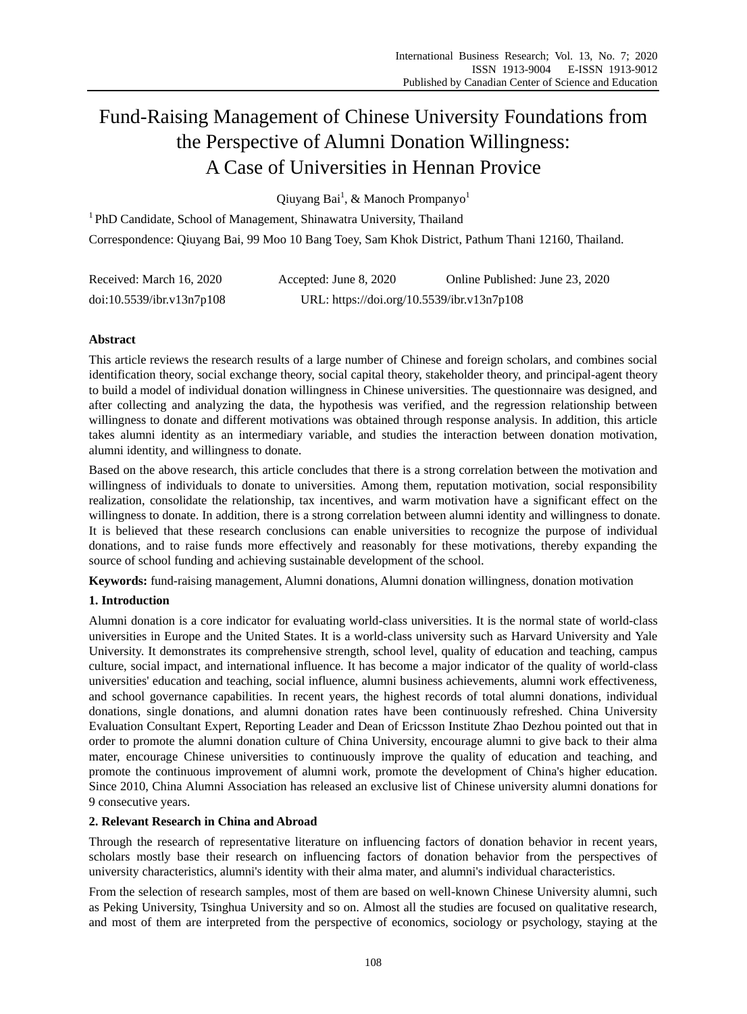# Fund-Raising Management of Chinese University Foundations from the Perspective of Alumni Donation Willingness: A Case of Universities in Hennan Provice

Qiuyang Bai<sup>1</sup>, & Manoch Prompanyo<sup>1</sup>

<sup>1</sup>PhD Candidate, School of Management, Shinawatra University, Thailand Correspondence: Qiuyang Bai, 99 Moo 10 Bang Toey, Sam Khok District, Pathum Thani 12160, Thailand.

| Received: March 16, 2020  | Accepted: June 8, 2020                     | Online Published: June 23, 2020 |  |  |  |  |
|---------------------------|--------------------------------------------|---------------------------------|--|--|--|--|
| doi:10.5539/ibr.v13n7p108 | URL: https://doi.org/10.5539/ibr.v13n7p108 |                                 |  |  |  |  |

# **Abstract**

This article reviews the research results of a large number of Chinese and foreign scholars, and combines social identification theory, social exchange theory, social capital theory, stakeholder theory, and principal-agent theory to build a model of individual donation willingness in Chinese universities. The questionnaire was designed, and after collecting and analyzing the data, the hypothesis was verified, and the regression relationship between willingness to donate and different motivations was obtained through response analysis. In addition, this article takes alumni identity as an intermediary variable, and studies the interaction between donation motivation, alumni identity, and willingness to donate.

Based on the above research, this article concludes that there is a strong correlation between the motivation and willingness of individuals to donate to universities. Among them, reputation motivation, social responsibility realization, consolidate the relationship, tax incentives, and warm motivation have a significant effect on the willingness to donate. In addition, there is a strong correlation between alumni identity and willingness to donate. It is believed that these research conclusions can enable universities to recognize the purpose of individual donations, and to raise funds more effectively and reasonably for these motivations, thereby expanding the source of school funding and achieving sustainable development of the school.

**Keywords:** fund-raising management, Alumni donations, Alumni donation willingness, donation motivation

# **1. Introduction**

Alumni donation is a core indicator for evaluating world-class universities. It is the normal state of world-class universities in Europe and the United States. It is a world-class university such as Harvard University and Yale University. It demonstrates its comprehensive strength, school level, quality of education and teaching, campus culture, social impact, and international influence. It has become a major indicator of the quality of world-class universities' education and teaching, social influence, alumni business achievements, alumni work effectiveness, and school governance capabilities. In recent years, the highest records of total alumni donations, individual donations, single donations, and alumni donation rates have been continuously refreshed. China University Evaluation Consultant Expert, Reporting Leader and Dean of Ericsson Institute Zhao Dezhou pointed out that in order to promote the alumni donation culture of China University, encourage alumni to give back to their alma mater, encourage Chinese universities to continuously improve the quality of education and teaching, and promote the continuous improvement of alumni work, promote the development of China's higher education. Since 2010, China Alumni Association has released an exclusive list of Chinese university alumni donations for 9 consecutive years.

# **2. Relevant Research in China and Abroad**

Through the research of representative literature on influencing factors of donation behavior in recent years, scholars mostly base their research on influencing factors of donation behavior from the perspectives of university characteristics, alumni's identity with their alma mater, and alumni's individual characteristics.

From the selection of research samples, most of them are based on well-known Chinese University alumni, such as Peking University, Tsinghua University and so on. Almost all the studies are focused on qualitative research, and most of them are interpreted from the perspective of economics, sociology or psychology, staying at the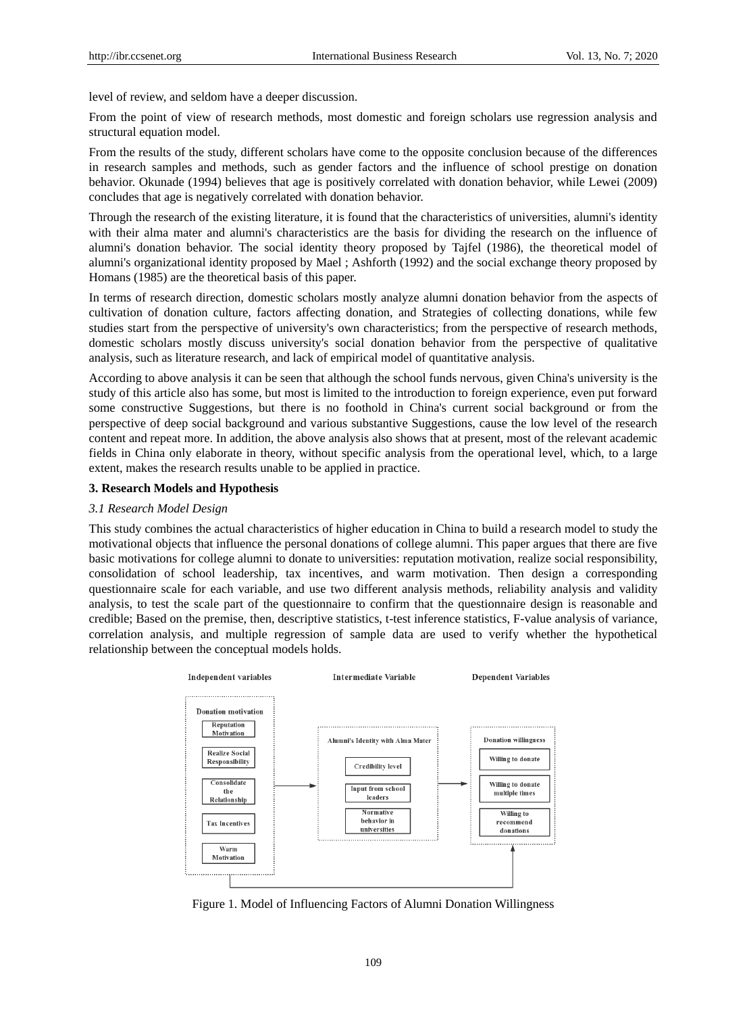level of review, and seldom have a deeper discussion.

From the point of view of research methods, most domestic and foreign scholars use regression analysis and structural equation model.

From the results of the study, different scholars have come to the opposite conclusion because of the differences in research samples and methods, such as gender factors and the influence of school prestige on donation behavior. Okunade (1994) believes that age is positively correlated with donation behavior, while Lewei (2009) concludes that age is negatively correlated with donation behavior.

Through the research of the existing literature, it is found that the characteristics of universities, alumni's identity with their alma mater and alumni's characteristics are the basis for dividing the research on the influence of alumni's donation behavior. The social identity theory proposed by Tajfel (1986), the theoretical model of alumni's organizational identity proposed by Mael ; Ashforth (1992) and the social exchange theory proposed by Homans (1985) are the theoretical basis of this paper.

In terms of research direction, domestic scholars mostly analyze alumni donation behavior from the aspects of cultivation of donation culture, factors affecting donation, and Strategies of collecting donations, while few studies start from the perspective of university's own characteristics; from the perspective of research methods, domestic scholars mostly discuss university's social donation behavior from the perspective of qualitative analysis, such as literature research, and lack of empirical model of quantitative analysis.

According to above analysis it can be seen that although the school funds nervous, given China's university is the study of this article also has some, but most is limited to the introduction to foreign experience, even put forward some constructive Suggestions, but there is no foothold in China's current social background or from the perspective of deep social background and various substantive Suggestions, cause the low level of the research content and repeat more. In addition, the above analysis also shows that at present, most of the relevant academic fields in China only elaborate in theory, without specific analysis from the operational level, which, to a large extent, makes the research results unable to be applied in practice.

#### **3. Research Models and Hypothesis**

#### *3.1 Research Model Design*

This study combines the actual characteristics of higher education in China to build a research model to study the motivational objects that influence the personal donations of college alumni. This paper argues that there are five basic motivations for college alumni to donate to universities: reputation motivation, realize social responsibility, consolidation of school leadership, tax incentives, and warm motivation. Then design a corresponding questionnaire scale for each variable, and use two different analysis methods, reliability analysis and validity analysis, to test the scale part of the questionnaire to confirm that the questionnaire design is reasonable and credible; Based on the premise, then, descriptive statistics, t-test inference statistics, F-value analysis of variance, correlation analysis, and multiple regression of sample data are used to verify whether the hypothetical relationship between the conceptual models holds.



Figure 1. Model of Influencing Factors of Alumni Donation Willingness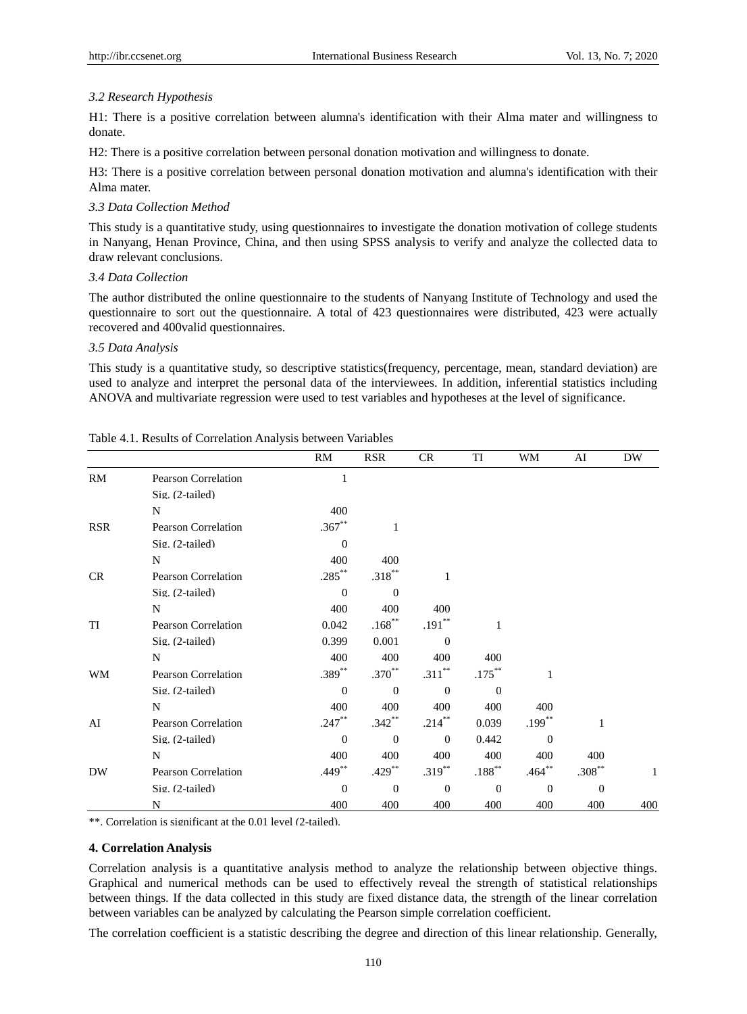## *3.2 Research Hypothesis*

H1: There is a positive correlation between alumna's identification with their Alma mater and willingness to donate.

H2: There is a positive correlation between personal donation motivation and willingness to donate.

H3: There is a positive correlation between personal donation motivation and alumna's identification with their Alma mater.

#### *3.3 Data Collection Method*

This study is a quantitative study, using questionnaires to investigate the donation motivation of college students in Nanyang, Henan Province, China, and then using SPSS analysis to verify and analyze the collected data to draw relevant conclusions.

## *3.4 Data Collection*

The author distributed the online questionnaire to the students of Nanyang Institute of Technology and used the questionnaire to sort out the questionnaire. A total of 423 questionnaires were distributed, 423 were actually recovered and 400valid questionnaires.

## *3.5 Data Analysis*

This study is a quantitative study, so descriptive statistics(frequency, percentage, mean, standard deviation) are used to analyze and interpret the personal data of the interviewees. In addition, inferential statistics including ANOVA and multivariate regression were used to test variables and hypotheses at the level of significance.

|            |                            | RM          | <b>RSR</b>           | CR           | TI        | WM           | AI          | <b>DW</b> |
|------------|----------------------------|-------------|----------------------|--------------|-----------|--------------|-------------|-----------|
| <b>RM</b>  | <b>Pearson Correlation</b> | 1           |                      |              |           |              |             |           |
|            | Sig. (2-tailed)            |             |                      |              |           |              |             |           |
|            | N                          | 400         |                      |              |           |              |             |           |
| <b>RSR</b> | Pearson Correlation        | $.367**$    | 1                    |              |           |              |             |           |
|            | Sig. (2-tailed)            | $\Omega$    |                      |              |           |              |             |           |
|            | N                          | 400         | 400                  |              |           |              |             |           |
| CR         | <b>Pearson Correlation</b> | $.285***$   | $.318***$            | 1            |           |              |             |           |
|            | Sig. (2-tailed)            | $\Omega$    | $\Omega$             |              |           |              |             |           |
|            | N                          | 400         | 400                  | 400          |           |              |             |           |
| TI         | <b>Pearson Correlation</b> | 0.042       | $.168***$            | $.191***$    | 1         |              |             |           |
|            | Sig. (2-tailed)            | 0.399       | 0.001                | $\theta$     |           |              |             |           |
|            | N                          | 400         | 400                  | 400          | 400       |              |             |           |
| WM         | <b>Pearson Correlation</b> | $.389^{**}$ | $.370^{**}$          | $.311***$    | $.175***$ | $\mathbf{1}$ |             |           |
|            | Sig. (2-tailed)            | $\Omega$    | $\theta$             | $\theta$     | $\Omega$  |              |             |           |
|            | N                          | 400         | 400                  | 400          | 400       | 400          |             |           |
| AI         | Pearson Correlation        | $.247***$   | $.342**$             | $.214***$    | 0.039     | $.199***$    | 1           |           |
|            | Sig. (2-tailed)            | $\Omega$    | $\Omega$             | $\theta$     | 0.442     | $\theta$     |             |           |
|            | N                          | 400         | 400                  | 400          | 400       | 400          | 400         |           |
| DW         | <b>Pearson Correlation</b> | $.449**$    | $.429$ <sup>**</sup> | $.319***$    | $.188***$ | $.464***$    | $.308^{**}$ |           |
|            | Sig. (2-tailed)            | $\Omega$    | $\theta$             | $\mathbf{0}$ | $\Omega$  | $\mathbf{0}$ | $\theta$    |           |
|            | N                          | 400         | 400                  | 400          | 400       | 400          | 400         | 400       |

Table 4.1. Results of Correlation Analysis between Variables

\*\*. Correlation is significant at the 0.01 level (2-tailed).

# **4. Correlation Analysis**

Correlation analysis is a quantitative analysis method to analyze the relationship between objective things. Graphical and numerical methods can be used to effectively reveal the strength of statistical relationships between things. If the data collected in this study are fixed distance data, the strength of the linear correlation between variables can be analyzed by calculating the Pearson simple correlation coefficient.

The correlation coefficient is a statistic describing the degree and direction of this linear relationship. Generally,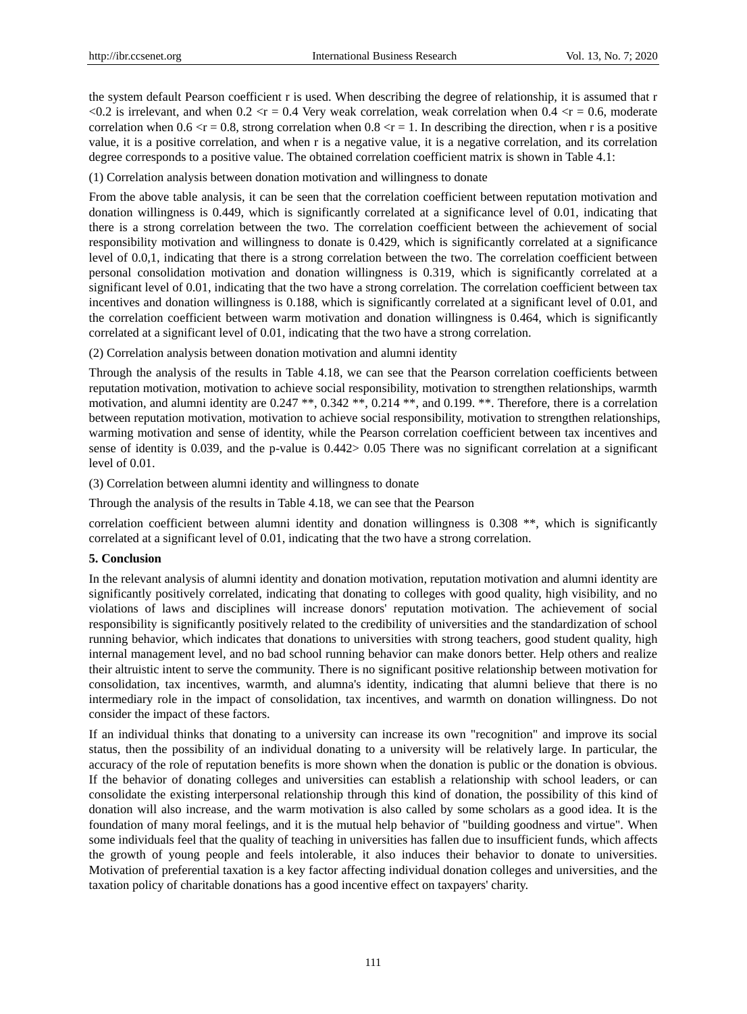the system default Pearson coefficient r is used. When describing the degree of relationship, it is assumed that r <0.2 is irrelevant, and when  $0.2 \le r = 0.4$  Very weak correlation, weak correlation when  $0.4 \le r = 0.6$ , moderate correlation when  $0.6 \le r = 0.8$ , strong correlation when  $0.8 \le r = 1$ . In describing the direction, when r is a positive value, it is a positive correlation, and when r is a negative value, it is a negative correlation, and its correlation degree corresponds to a positive value. The obtained correlation coefficient matrix is shown in Table 4.1:

(1) Correlation analysis between donation motivation and willingness to donate

From the above table analysis, it can be seen that the correlation coefficient between reputation motivation and donation willingness is 0.449, which is significantly correlated at a significance level of 0.01, indicating that there is a strong correlation between the two. The correlation coefficient between the achievement of social responsibility motivation and willingness to donate is 0.429, which is significantly correlated at a significance level of 0.0,1, indicating that there is a strong correlation between the two. The correlation coefficient between personal consolidation motivation and donation willingness is 0.319, which is significantly correlated at a significant level of 0.01, indicating that the two have a strong correlation. The correlation coefficient between tax incentives and donation willingness is 0.188, which is significantly correlated at a significant level of 0.01, and the correlation coefficient between warm motivation and donation willingness is 0.464, which is significantly correlated at a significant level of 0.01, indicating that the two have a strong correlation.

(2) Correlation analysis between donation motivation and alumni identity

Through the analysis of the results in Table 4.18, we can see that the Pearson correlation coefficients between reputation motivation, motivation to achieve social responsibility, motivation to strengthen relationships, warmth motivation, and alumni identity are 0.247 \*\*, 0.342 \*\*, 0.214 \*\*, and 0.199. \*\*. Therefore, there is a correlation between reputation motivation, motivation to achieve social responsibility, motivation to strengthen relationships, warming motivation and sense of identity, while the Pearson correlation coefficient between tax incentives and sense of identity is 0.039, and the p-value is 0.442> 0.05 There was no significant correlation at a significant level of 0.01.

(3) Correlation between alumni identity and willingness to donate

Through the analysis of the results in Table 4.18, we can see that the Pearson

correlation coefficient between alumni identity and donation willingness is 0.308 \*\*, which is significantly correlated at a significant level of 0.01, indicating that the two have a strong correlation.

## **5. Conclusion**

In the relevant analysis of alumni identity and donation motivation, reputation motivation and alumni identity are significantly positively correlated, indicating that donating to colleges with good quality, high visibility, and no violations of laws and disciplines will increase donors' reputation motivation. The achievement of social responsibility is significantly positively related to the credibility of universities and the standardization of school running behavior, which indicates that donations to universities with strong teachers, good student quality, high internal management level, and no bad school running behavior can make donors better. Help others and realize their altruistic intent to serve the community. There is no significant positive relationship between motivation for consolidation, tax incentives, warmth, and alumna's identity, indicating that alumni believe that there is no intermediary role in the impact of consolidation, tax incentives, and warmth on donation willingness. Do not consider the impact of these factors.

If an individual thinks that donating to a university can increase its own "recognition" and improve its social status, then the possibility of an individual donating to a university will be relatively large. In particular, the accuracy of the role of reputation benefits is more shown when the donation is public or the donation is obvious. If the behavior of donating colleges and universities can establish a relationship with school leaders, or can consolidate the existing interpersonal relationship through this kind of donation, the possibility of this kind of donation will also increase, and the warm motivation is also called by some scholars as a good idea. It is the foundation of many moral feelings, and it is the mutual help behavior of "building goodness and virtue". When some individuals feel that the quality of teaching in universities has fallen due to insufficient funds, which affects the growth of young people and feels intolerable, it also induces their behavior to donate to universities. Motivation of preferential taxation is a key factor affecting individual donation colleges and universities, and the taxation policy of charitable donations has a good incentive effect on taxpayers' charity.